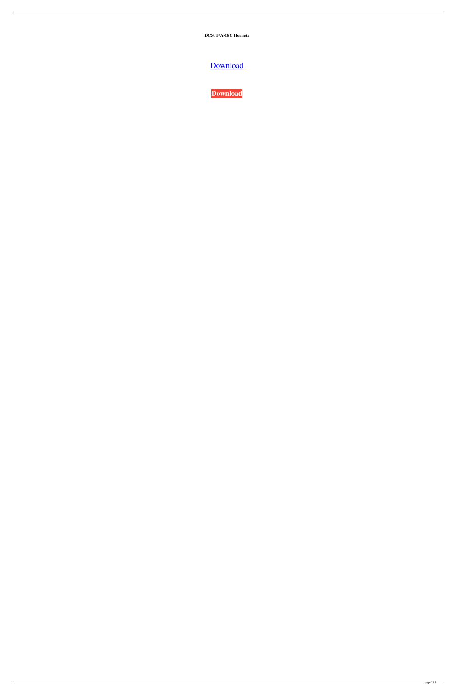**DCS: F/A-18C Hornets**

[Download](https://urllie.com/2l13hd)

**[Download](https://urllie.com/2l13hd)**